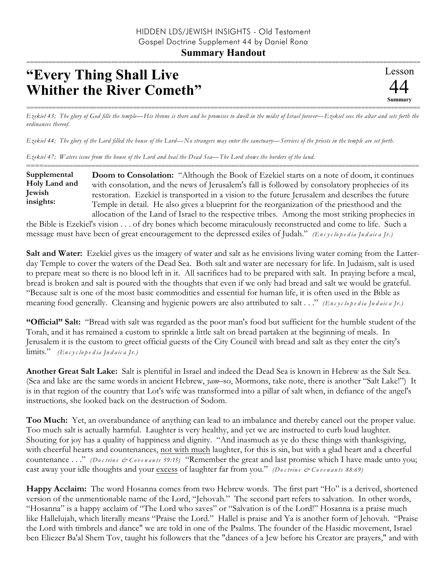## **"Every Thing Shall Live Whither the River Cometh"**

=========================================================================================================== *Ezekiel 43; The glory of God fills the temple—His throne is there and he promises to dwell in the midst of Israel forever—Ezekiel sees the altar and sets forth the ordinances thereof.*

*Ezekiel 44; The glory of the Lord filled the house of the Lord—No strangers may enter the sanctuary—Services of the priests in the temple are set forth.*

*Ezekiel 47; Waters issue from the house of the Lord and heal the Dead Sea—The Lord shows the borders of the land.*

========================================================================================================== **Doom to Consolation:** "Although the Book of Ezekiel starts on a note of doom, it continues with consolation, and the news of Jerusalem's fall is followed by consolatory prophecies of its restoration. Ezekiel is transported in a vision to the future Jerusalem and describes the future Temple in detail. He also gives a blueprint for the reorganization of the priesthood and the allocation of the Land of Israel to the respective tribes. Among the most striking prophecies in **Supplemental Holy Land and Jewish insights:**

the Bible is Ezekiel's vision . . . of dry bones which become miraculously reconstructed and come to life. Such a message must have been of great encouragement to the depressed exiles of Judah." *(En c y c lo p e d ia Ju d a ic a Jr.)*

**Salt and Water:** Ezekiel gives us the imagery of water and salt as he envisions living water coming from the Latterday Temple to cover the waters of the Dead Sea. Both salt and water are necessary for life. In Judaism, salt is used to prepare meat so there is no blood left in it. All sacrifices had to be prepared with salt. In praying before a meal, bread is broken and salt is poured with the thoughts that even if we only had bread and salt we would be grateful. "Because salt is one of the most basic commodities and essential for human life, it is often used in the Bible as meaning food generally. Cleansing and hygienic powers are also attributed to salt . . ." *(En c y c lo p e d ia Ju d a ic a Jr.)*

**"Official" Salt:** "Bread with salt was regarded as the poor man's food but sufficient for the humble student of the Torah, and it has remained a custom to sprinkle a little salt on bread partaken at the beginning of meals. In Jerusalem it is the custom to greet official guests of the City Council with bread and salt as they enter the city's limits." *(En c y c lo p e d ia Ju d a ic a Jr.)*

**Another Great Salt Lake:** Salt is plentiful in Israel and indeed the Dead Sea is known in Hebrew as the Salt Sea. (Sea and lake are the same words in ancient Hebrew, *yam*–so, Mormons, take note, there is another "Salt Lake!") It is in that region of the country that Lot's wife was transformed into a pillar of salt when, in defiance of the angel's instructions, she looked back on the destruction of Sodom.

**Too Much:** Yet, an overabundance of anything can lead to an imbalance and thereby cancel out the proper value. Too much salt is actually harmful. Laughter is very healthy, and yet we are instructed to curb loud laughter. Shouting for joy has a quality of happiness and dignity. "And inasmuch as ye do these things with thanksgiving, with cheerful hearts and countenances, not with much laughter, for this is sin, but with a glad heart and a cheerful countenance . . ." *(Do c trin e & Co ve n a n ts 59:15)* "Remember the great and last promise which I have made unto you; cast away your idle thoughts and your excess of laughter far from you." *(Do c trin e & Co ve n a n ts 88:69)*

**Happy Acclaim:** The word Hosanna comes from two Hebrew words. The first part "Ho" is a derived, shortened version of the unmentionable name of the Lord, "Jehovah." The second part refers to salvation. In other words, "Hosanna" is a happy acclaim of "The Lord who saves" or "Salvation is of the Lord!" Hosanna is a praise much like Hallelujah, which literally means "Praise the Lord." Hallel is praise and Ya is another form of Jehovah. "Praise the Lord with timbrels and dance" we are told in one of the Psalms. The founder of the Hasidic movement, Israel ben Eliezer Ba'al Shem Tov, taught his followers that the "dances of a Jew before his Creator are prayers," and with